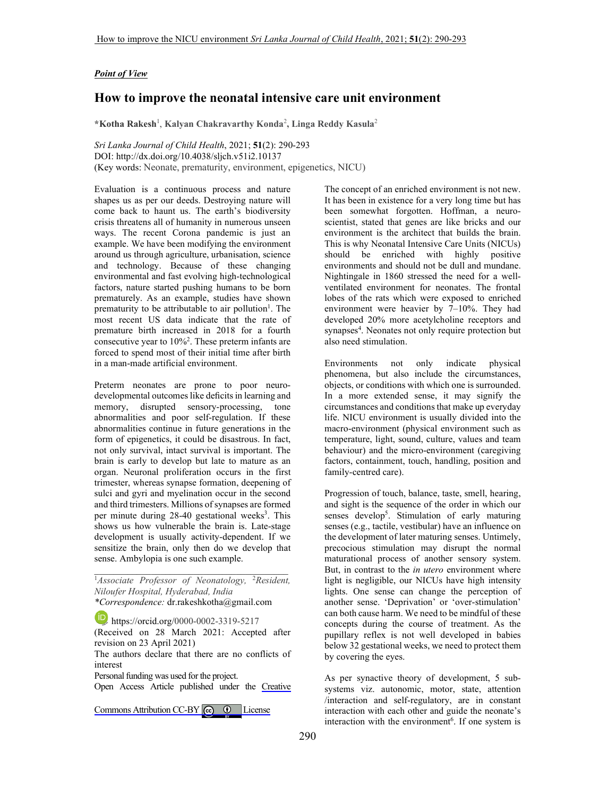## *Point of View*

## **How to improve the neonatal intensive care unit environment**

**\*Kotha Rakesh**<sup>1</sup> , **Kalyan Chakravarthy Konda**<sup>2</sup> **, Linga Reddy Kasula**<sup>2</sup>

*Sri Lanka Journal of Child Health*, 2021; **51**(2): 290-293 DOI: http://dx.doi.org/10.4038/sljch.v51i2.10137 (Key words: Neonate, prematurity, environment, epigenetics, NICU)

Evaluation is a continuous process and nature shapes us as per our deeds. Destroying nature will come back to haunt us. The earth's biodiversity crisis threatens all of humanity in numerous unseen ways. The recent Corona pandemic is just an example. We have been modifying the environment around us through agriculture, urbanisation, science and technology. Because of these changing environmental and fast evolving high-technological factors, nature started pushing humans to be born prematurely. As an example, studies have shown prematurity to be attributable to air pollution<sup>1</sup>. The most recent US data indicate that the rate of premature birth increased in 2018 for a fourth consecutive year to  $10\%^2$ . These preterm infants are forced to spend most of their initial time after birth in a man-made artificial environment.

Preterm neonates are prone to poor neurodevelopmental outcomes like deficits in learning and memory, disrupted sensory-processing, tone abnormalities and poor self-regulation. If these abnormalities continue in future generations in the form of epigenetics, it could be disastrous. In fact, not only survival, intact survival is important. The brain is early to develop but late to mature as an organ. Neuronal proliferation occurs in the first trimester, whereas synapse formation, deepening of sulci and gyri and myelination occur in the second and third trimesters. Millions of synapses are formed per minute during 28-40 gestational weeks<sup>3</sup>. This shows us how vulnerable the brain is. Late-stage development is usually activity-dependent. If we sensitize the brain, only then do we develop that sense. Ambylopia is one such example.

<sup>1</sup>*Associate Professor of Neonatology,* <sup>2</sup>*Resident, Niloufer Hospital, Hyderabad, India*

*\*Correspondence:* dr.rakeshkotha@gmail.com

https://orcid.org/0000-0002-3319-5217

(Received on 28 March 2021: Accepted after revision on 23 April 2021)

The authors declare that there are no conflicts of interest

Personal funding was used for the project.

Open Access Article published under the [Creative](https://creativecommons.org/licenses/by/4.0/)

Commons Attribution CC-BY  $\left[\begin{array}{cc} \text{(c)} & \text{(d)} \end{array}\right]$  License

The concept of an enriched environment is not new. It has been in existence for a very long time but has been somewhat forgotten. Hoffman, a neuroscientist, stated that genes are like bricks and our environment is the architect that builds the brain. This is why Neonatal Intensive Care Units (NICUs) should be enriched with highly positive environments and should not be dull and mundane. Nightingale in 1860 stressed the need for a wellventilated environment for neonates. The frontal lobes of the rats which were exposed to enriched environment were heavier by 7–10%. They had developed 20% more acetylcholine receptors and synapses<sup>4</sup>. Neonates not only require protection but also need stimulation.

Environments not only indicate physical phenomena, but also include the circumstances, objects, or conditions with which one is surrounded. In a more extended sense, it may signify the circumstances and conditions that make up everyday life. NICU environment is usually divided into the macro-environment (physical environment such as temperature, light, sound, culture, values and team behaviour) and the micro-environment (caregiving factors, containment, touch, handling, position and family-centred care).

Progression of touch, balance, taste, smell, hearing, and sight is the sequence of the order in which our senses develop<sup>5</sup>. Stimulation of early maturing senses (e.g., tactile, vestibular) have an influence on the development of later maturing senses. Untimely, precocious stimulation may disrupt the normal maturational process of another sensory system. But, in contrast to the *in utero* environment where light is negligible, our NICUs have high intensity lights. One sense can change the perception of another sense. 'Deprivation' or 'over-stimulation' can both cause harm. We need to be mindful of these concepts during the course of treatment. As the pupillary reflex is not well developed in babies below 32 gestational weeks, we need to protect them by covering the eyes.

As per synactive theory of development, 5 subsystems viz. autonomic, motor, state, attention /interaction and self-regulatory, are in constant interaction with each other and guide the neonate's interaction with the environment<sup>6</sup>. If one system is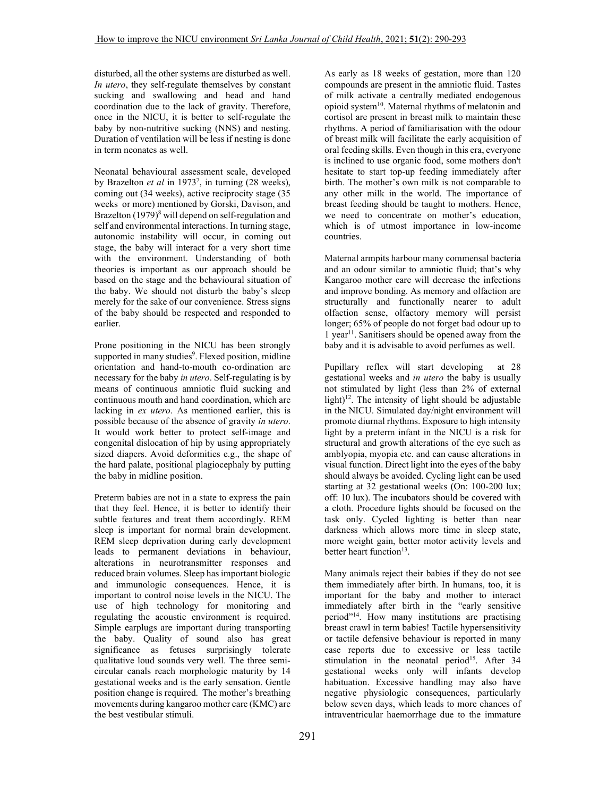disturbed, all the other systems are disturbed as well. *In utero*, they self-regulate themselves by constant sucking and swallowing and head and hand coordination due to the lack of gravity. Therefore, once in the NICU, it is better to self-regulate the baby by non-nutritive sucking (NNS) and nesting. Duration of ventilation will be less if nesting is done in term neonates as well.

Neonatal behavioural assessment scale, developed by Brazelton *et al* in 1973<sup>7</sup> , in turning (28 weeks), coming out (34 weeks), active reciprocity stage (35 weeks or more) mentioned by Gorski, Davison, and Brazelton (1979)<sup>8</sup> will depend on self-regulation and self and environmental interactions. In turning stage, autonomic instability will occur, in coming out stage, the baby will interact for a very short time with the environment. Understanding of both theories is important as our approach should be based on the stage and the behavioural situation of the baby. We should not disturb the baby's sleep merely for the sake of our convenience. Stress signs of the baby should be respected and responded to earlier.

Prone positioning in the NICU has been strongly supported in many studies<sup>9</sup>. Flexed position, midline orientation and hand-to-mouth co-ordination are necessary for the baby *in utero*. Self-regulating is by means of continuous amniotic fluid sucking and continuous mouth and hand coordination, which are lacking in *ex utero*. As mentioned earlier, this is possible because of the absence of gravity *in utero*. It would work better to protect self-image and congenital dislocation of hip by using appropriately sized diapers. Avoid deformities e.g., the shape of the hard palate, positional plagiocephaly by putting the baby in midline position.

Preterm babies are not in a state to express the pain that they feel. Hence, it is better to identify their subtle features and treat them accordingly. REM sleep is important for normal brain development. REM sleep deprivation during early development leads to permanent deviations in behaviour, alterations in neurotransmitter responses and reduced brain volumes. Sleep has important biologic and immunologic consequences. Hence, it is important to control noise levels in the NICU. The use of high technology for monitoring and regulating the acoustic environment is required. Simple earplugs are important during transporting the baby. Quality of sound also has great significance as fetuses surprisingly tolerate qualitative loud sounds very well. The three semicircular canals reach morphologic maturity by 14 gestational weeks and is the early sensation. Gentle position change is required. The mother's breathing movements during kangaroo mother care (KMC) are the best vestibular stimuli.

As early as 18 weeks of gestation, more than 120 compounds are present in the amniotic fluid. Tastes of milk activate a centrally mediated endogenous opioid system<sup>10</sup>. Maternal rhythms of melatonin and cortisol are present in breast milk to maintain these rhythms. A period of familiarisation with the odour of breast milk will facilitate the early acquisition of oral feeding skills. Even though in this era, everyone is inclined to use organic food, some mothers don't hesitate to start top-up feeding immediately after birth. The mother's own milk is not comparable to any other milk in the world. The importance of breast feeding should be taught to mothers. Hence, we need to concentrate on mother's education, which is of utmost importance in low-income countries.

Maternal armpits harbour many commensal bacteria and an odour similar to amniotic fluid; that's why Kangaroo mother care will decrease the infections and improve bonding. As memory and olfaction are structurally and functionally nearer to adult olfaction sense, olfactory memory will persist longer; 65% of people do not forget bad odour up to 1 year<sup>11</sup>. Sanitisers should be opened away from the baby and it is advisable to avoid perfumes as well.

Pupillary reflex will start developing at 28 gestational weeks and *in utero* the baby is usually not stimulated by light (less than 2% of external light)<sup>12</sup>. The intensity of light should be adjustable in the NICU. Simulated day/night environment will promote diurnal rhythms. Exposure to high intensity light by a preterm infant in the NICU is a risk for structural and growth alterations of the eye such as amblyopia, myopia etc. and can cause alterations in visual function. Direct light into the eyes of the baby should always be avoided. Cycling light can be used starting at 32 gestational weeks (On: 100-200 lux; off: 10 lux). The incubators should be covered with a cloth. Procedure lights should be focused on the task only. Cycled lighting is better than near darkness which allows more time in sleep state, more weight gain, better motor activity levels and better heart function<sup>13</sup>.

Many animals reject their babies if they do not see them immediately after birth. In humans, too, it is important for the baby and mother to interact immediately after birth in the "early sensitive period"<sup>14</sup>. How many institutions are practising breast crawl in term babies! Tactile hypersensitivity or tactile defensive behaviour is reported in many case reports due to excessive or less tactile stimulation in the neonatal period<sup>15</sup>. After 34 gestational weeks only will infants develop habituation. Excessive handling may also have negative physiologic consequences, particularly below seven days, which leads to more chances of intraventricular haemorrhage due to the immature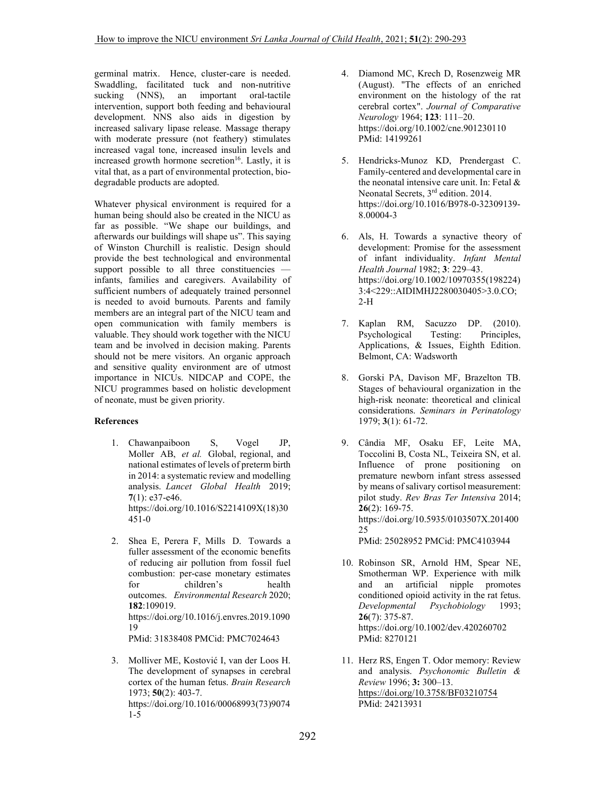germinal matrix. Hence, cluster-care is needed. Swaddling, facilitated tuck and non-nutritive sucking (NNS), an important oral-tactile intervention, support both feeding and behavioural development. NNS also aids in digestion by increased salivary lipase release. Massage therapy with moderate pressure (not feathery) stimulates increased vagal tone, increased insulin levels and increased growth hormone secretion<sup>16</sup>. Lastly, it is vital that, as a part of environmental protection, biodegradable products are adopted.

Whatever physical environment is required for a human being should also be created in the NICU as far as possible. "We shape our buildings, and afterwards our buildings will shape us". This saying of Winston Churchill is realistic. Design should provide the best technological and environmental support possible to all three constituencies infants, families and caregivers. Availability of sufficient numbers of adequately trained personnel is needed to avoid burnouts. Parents and family members are an integral part of the NICU team and open communication with family members is valuable. They should work together with the NICU team and be involved in decision making. Parents should not be mere visitors. An organic approach and sensitive quality environment are of utmost importance in NICUs. NIDCAP and COPE, the NICU programmes based on holistic development of neonate, must be given priority.

## **References**

- 1. Chawanpaiboon S, Vogel JP, Moller AB, *et al.* Global, regional, and national estimates of levels of preterm birth in 2014: a systematic review and modelling analysis. *Lancet Global Health* 2019; **7**(1): e37-e46. https://doi.org/10.1016/S2214109X(18)30 451-0
- 2. Shea E, Perera F, Mills D. Towards a fuller assessment of the economic benefits of reducing air pollution from fossil fuel combustion: per-case monetary estimates for children's health outcomes. *Environmental Research* 2020; **182**:109019. https://doi.org/10.1016/j.envres.2019.1090 19 PMid: 31838408 PMCid: PMC7024643
- 3. Molliver ME, Kostović I, van der Loos H. The development of synapses in cerebral cortex of the human fetus. *Brain Research* 1973; **50**(2): 403-7. https://doi.org/10.1016/00068993(73)9074 1-5
- 4. Diamond MC, Krech D, Rosenzweig MR (August). "The effects of an enriched environment on the histology of the rat cerebral cortex". *Journal of Comparative Neurology* 1964; **123**: 111–20. https://doi.org/10.1002/cne.901230110 PMid: 14199261
- 5. Hendricks-Munoz KD, Prendergast C. Family-centered and developmental care in the neonatal intensive care unit. In: Fetal & Neonatal Secrets, 3<sup>rd</sup> edition. 2014. https://doi.org/10.1016/B978-0-32309139- 8.00004-3
- 6. Als, H. Towards a synactive theory of development: Promise for the assessment of infant individuality. *Infant Mental Health Journal* 1982; **3**: 229–43. https://doi.org/10.1002/10970355(198224) 3:4<229::AIDIMHJ2280030405>3.0.CO; 2-H
- 7. Kaplan RM, Sacuzzo DP. (2010). Psychological Testing: Principles, Applications, & Issues, Eighth Edition. Belmont, CA: Wadsworth
- 8. Gorski PA, Davison MF, Brazelton TB. Stages of behavioural organization in the high-risk neonate: theoretical and clinical considerations. *Seminars in Perinatology* 1979; **3**(1): 61-72.
- 9. Cândia MF, Osaku EF, Leite MA, Toccolini B, Costa NL, Teixeira SN, et al. Influence of prone positioning on premature newborn infant stress assessed by means of salivary cortisol measurement: pilot study. *Rev Bras Ter Intensiva* 2014; **26**(2): 169-75. https://doi.org/10.5935/0103507X.201400 25 PMid: 25028952 PMCid: PMC4103944
- 10. Robinson SR, Arnold HM, Spear NE, Smotherman WP. Experience with milk and an artificial nipple promotes conditioned opioid activity in the rat fetus. *Developmental Psychobiology* 1993; **26**(7): 375-87. https://doi.org/10.1002/dev.420260702 PMid: 8270121
- 11. Herz RS, Engen T. Odor memory: Review and analysis. *Psychonomic Bulletin & Review* 1996; **3:** 300–13. https://doi.org/10.3758/BF03210754 PMid: 24213931